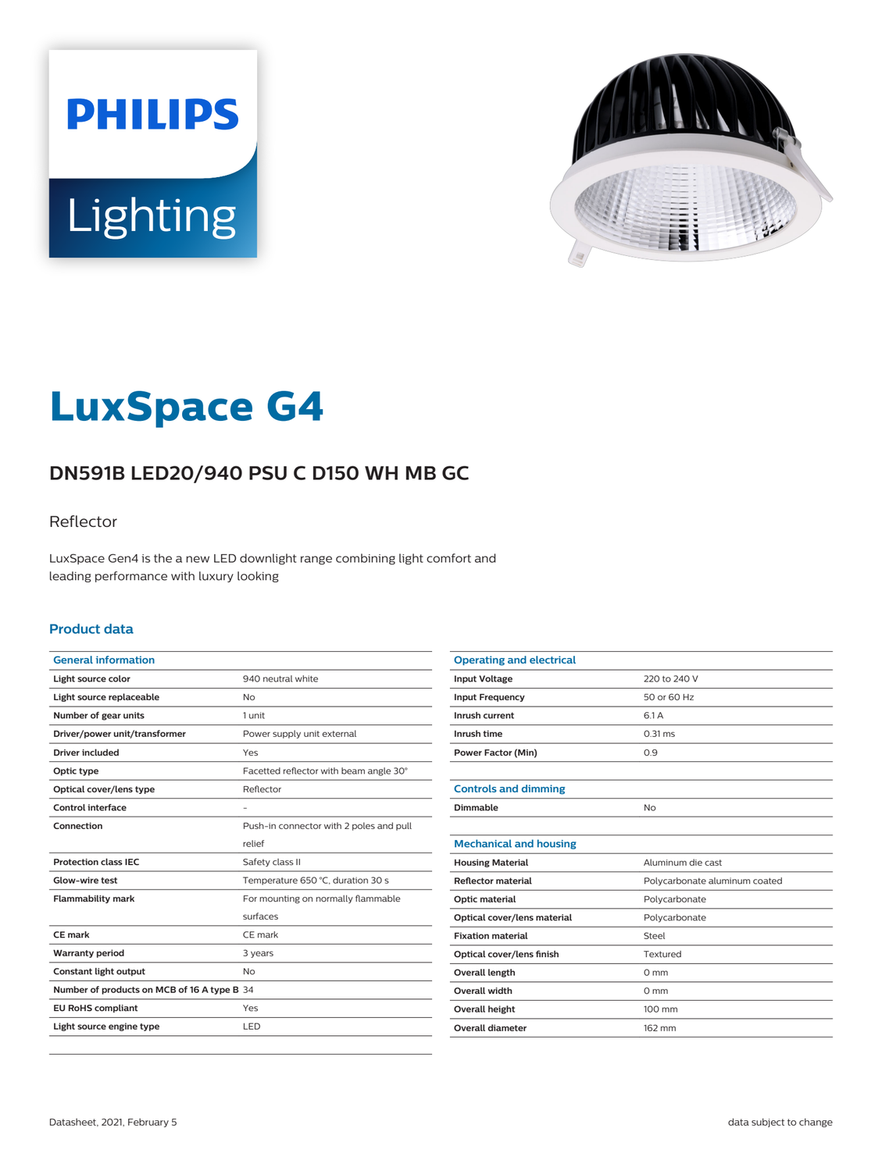



# **LuxSpace G4**

# **DN591B LED20/940 PSU C D150 WH MB GC**

### Reflector

LuxSpace Gen4 is the a new LED downlight range combining light comfort and leading performance with luxury looking

#### **Product data**

| <b>General information</b>                  |                                         |
|---------------------------------------------|-----------------------------------------|
| Light source color                          | 940 neutral white                       |
| Light source replaceable                    | No                                      |
| Number of gear units                        | 1 unit                                  |
| Driver/power unit/transformer               | Power supply unit external              |
| Driver included                             | Yes                                     |
| Optic type                                  | Facetted reflector with beam angle 30°  |
| Optical cover/lens type                     | Reflector                               |
| Control interface                           |                                         |
| Connection                                  | Push-in connector with 2 poles and pull |
|                                             | relief                                  |
| <b>Protection class IEC</b>                 | Safety class II                         |
| Glow-wire test                              | Temperature 650 °C, duration 30 s       |
| <b>Flammability mark</b>                    | For mounting on normally flammable      |
|                                             | surfaces                                |
| <b>CE</b> mark                              | CE mark                                 |
| <b>Warranty period</b>                      | 3 years                                 |
| Constant light output                       | No                                      |
| Number of products on MCB of 16 A type B 34 |                                         |
| <b>EU RoHS compliant</b>                    | Yes                                     |
| Light source engine type                    | LED                                     |
|                                             |                                         |

| <b>Operating and electrical</b> |                               |
|---------------------------------|-------------------------------|
| <b>Input Voltage</b>            | 220 to 240 V                  |
| <b>Input Frequency</b>          | 50 or 60 Hz                   |
| Inrush current                  | 6.1 A                         |
| Inrush time                     | $0.31$ ms                     |
| <b>Power Factor (Min)</b>       | 0.9                           |
|                                 |                               |
| <b>Controls and dimming</b>     |                               |
| Dimmable                        | No                            |
|                                 |                               |
| <b>Mechanical and housing</b>   |                               |
| <b>Housing Material</b>         | Aluminum die cast             |
| <b>Reflector material</b>       | Polycarbonate aluminum coated |
| Optic material                  | Polycarbonate                 |
| Optical cover/lens material     | Polycarbonate                 |
| <b>Fixation material</b>        | Steel                         |
| Optical cover/lens finish       | Textured                      |
| <b>Overall length</b>           | $0 \text{ mm}$                |
| Overall width                   | $0 \text{ mm}$                |
| <b>Overall height</b>           | 100 mm                        |
| Overall diameter                | 162 mm                        |
|                                 |                               |